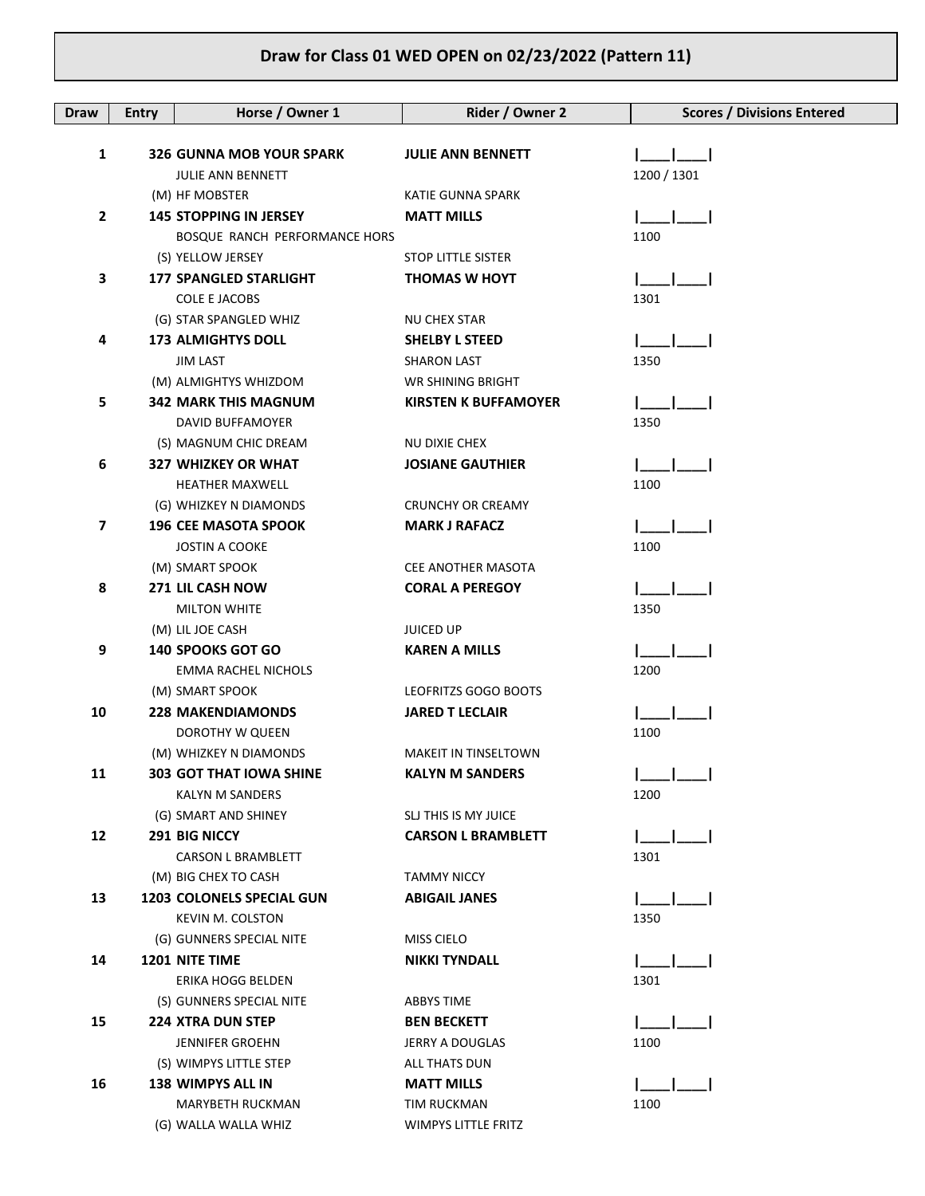## **Draw for Class 01 WED OPEN on 02/23/2022 (Pattern 11)**

| <b>Draw</b> | <b>Entry</b> | Horse / Owner 1                                    | Rider / Owner 2             | <b>Scores / Divisions Entered</b> |
|-------------|--------------|----------------------------------------------------|-----------------------------|-----------------------------------|
|             |              |                                                    |                             |                                   |
| 1           |              | <b>326 GUNNA MOB YOUR SPARK</b>                    | <b>JULIE ANN BENNETT</b>    |                                   |
|             |              | <b>JULIE ANN BENNETT</b>                           |                             | 1200 / 1301                       |
|             |              | (M) HF MOBSTER                                     | <b>KATIE GUNNA SPARK</b>    |                                   |
| 2           |              | <b>145 STOPPING IN JERSEY</b>                      | <b>MATT MILLS</b>           |                                   |
|             |              | BOSQUE RANCH PERFORMANCE HORS                      | <b>STOP LITTLE SISTER</b>   | 1100                              |
| 3           |              | (S) YELLOW JERSEY<br><b>177 SPANGLED STARLIGHT</b> | <b>THOMAS W HOYT</b>        |                                   |
|             |              | <b>COLE E JACOBS</b>                               |                             | 1301                              |
|             |              | (G) STAR SPANGLED WHIZ                             | NU CHEX STAR                |                                   |
| 4           |              | <b>173 ALMIGHTYS DOLL</b>                          | <b>SHELBY L STEED</b>       |                                   |
|             |              | <b>JIM LAST</b>                                    | <b>SHARON LAST</b>          | 1350                              |
|             |              | (M) ALMIGHTYS WHIZDOM                              | WR SHINING BRIGHT           |                                   |
| 5           |              | <b>342 MARK THIS MAGNUM</b>                        | <b>KIRSTEN K BUFFAMOYER</b> |                                   |
|             |              | DAVID BUFFAMOYER                                   |                             | 1350                              |
|             |              | (S) MAGNUM CHIC DREAM                              | NU DIXIE CHEX               |                                   |
| 6           |              | <b>327 WHIZKEY OR WHAT</b>                         | <b>JOSIANE GAUTHIER</b>     |                                   |
|             |              | <b>HEATHER MAXWELL</b>                             |                             | 1100                              |
|             |              | (G) WHIZKEY N DIAMONDS                             | <b>CRUNCHY OR CREAMY</b>    |                                   |
| 7           |              | <b>196 CEE MASOTA SPOOK</b>                        | <b>MARK J RAFACZ</b>        |                                   |
|             |              | <b>JOSTIN A COOKE</b>                              |                             | 1100                              |
|             |              | (M) SMART SPOOK                                    | <b>CEE ANOTHER MASOTA</b>   |                                   |
| 8           |              | 271 LIL CASH NOW                                   | <b>CORAL A PEREGOY</b>      |                                   |
|             |              | <b>MILTON WHITE</b>                                |                             | 1350                              |
|             |              | (M) LIL JOE CASH                                   | <b>JUICED UP</b>            |                                   |
| 9           |              | <b>140 SPOOKS GOT GO</b>                           | KAREN A MILLS               |                                   |
|             |              | <b>EMMA RACHEL NICHOLS</b>                         |                             | 1200                              |
|             |              | (M) SMART SPOOK                                    | LEOFRITZS GOGO BOOTS        |                                   |
| 10          |              | <b>228 MAKENDIAMONDS</b>                           | <b>JARED T LECLAIR</b>      |                                   |
|             |              | DOROTHY W QUEEN                                    |                             | 1100                              |
|             |              | (M) WHIZKEY N DIAMONDS                             | <b>MAKEIT IN TINSELTOWN</b> |                                   |
| 11          |              | 303 GOT THAT IOWA SHINE                            | <b>KALYN M SANDERS</b>      |                                   |
|             |              | <b>KALYN M SANDERS</b>                             |                             | 1200                              |
|             |              | (G) SMART AND SHINEY                               | SLJ THIS IS MY JUICE        |                                   |
| 12          |              | 291 BIG NICCY                                      | <b>CARSON L BRAMBLETT</b>   |                                   |
|             |              | <b>CARSON L BRAMBLETT</b>                          |                             | 1301                              |
|             |              | (M) BIG CHEX TO CASH                               | <b>TAMMY NICCY</b>          |                                   |
| 13          |              | <b>1203 COLONELS SPECIAL GUN</b>                   | <b>ABIGAIL JANES</b>        |                                   |
|             |              | KEVIN M. COLSTON                                   |                             | 1350                              |
|             |              | (G) GUNNERS SPECIAL NITE                           | MISS CIELO                  |                                   |
| 14          |              | <b>1201 NITE TIME</b>                              | <b>NIKKI TYNDALL</b>        |                                   |
|             |              | ERIKA HOGG BELDEN                                  |                             | 1301                              |
|             |              | (S) GUNNERS SPECIAL NITE                           | ABBYS TIME                  |                                   |
| 15          |              | <b>224 XTRA DUN STEP</b>                           | <b>BEN BECKETT</b>          |                                   |
|             |              | <b>JENNIFER GROEHN</b>                             | JERRY A DOUGLAS             | 1100                              |
|             |              | (S) WIMPYS LITTLE STEP                             | ALL THATS DUN               |                                   |
| 16          |              | <b>138 WIMPYS ALL IN</b>                           | <b>MATT MILLS</b>           |                                   |
|             |              | MARYBETH RUCKMAN                                   | TIM RUCKMAN                 | 1100                              |
|             |              | (G) WALLA WALLA WHIZ                               | WIMPYS LITTLE FRITZ         |                                   |